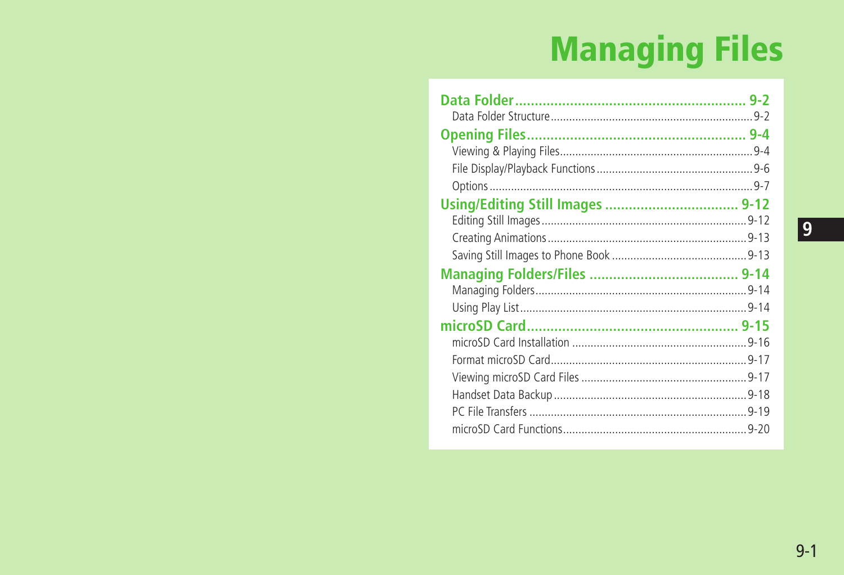# **Managing Files**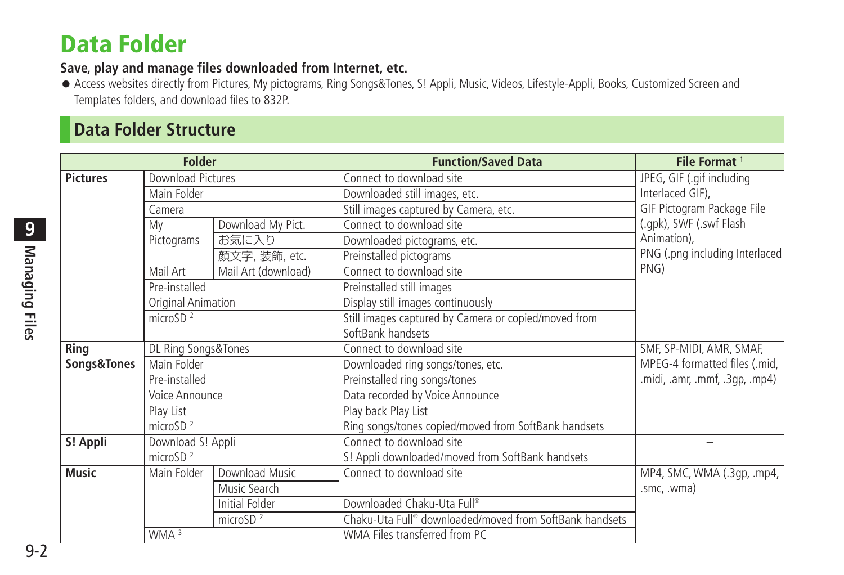# <span id="page-1-0"></span>**Data Folder**

#### **Save, play and manage files downloaded from Internet, etc.**

● Access websites directly from Pictures, My pictograms, Ring Songs&Tones, S! Appli, Music, Videos, Lifestyle-Appli, Books, Customized Screen and Templates folders, and download files to 832P.

# **Data Folder Structure**

| <b>Folder</b>   |                                         |                     | <b>Function/Saved Data</b>                              | File Format <sup>1</sup>                      |
|-----------------|-----------------------------------------|---------------------|---------------------------------------------------------|-----------------------------------------------|
| <b>Pictures</b> | <b>Download Pictures</b><br>Main Folder |                     | Connect to download site                                | JPEG, GIF (.gif including<br>Interlaced GIF). |
|                 |                                         |                     | Downloaded still images, etc.                           |                                               |
|                 | Camera                                  |                     | Still images captured by Camera, etc.                   | GIF Pictogram Package File                    |
|                 | My                                      | Download My Pict.   | Connect to download site                                | (.gpk), SWF (.swf Flash                       |
|                 | Pictograms                              | お気に入り               | Downloaded pictograms, etc.                             | Animation),                                   |
|                 |                                         | 顔文字, 装飾, etc.       | Preinstalled pictograms                                 | PNG (.png including Interlaced                |
|                 | Mail Art                                | Mail Art (download) | Connect to download site                                | PNG)                                          |
|                 | Pre-installed                           |                     | Preinstalled still images                               |                                               |
|                 | Original Animation                      |                     | Display still images continuously                       |                                               |
|                 | microSD $^2$                            |                     | Still images captured by Camera or copied/moved from    |                                               |
|                 |                                         |                     | SoftBank handsets                                       |                                               |
| Ring            | DL Ring Songs&Tones                     |                     | Connect to download site                                | SMF, SP-MIDI, AMR, SMAF,                      |
| Songs&Tones     | Main Folder                             |                     | Downloaded ring songs/tones, etc.                       | MPEG-4 formatted files (.mid,                 |
|                 | Pre-installed                           |                     | Preinstalled ring songs/tones                           | midi, .amr, .mmf, .3qp, .mp4).                |
|                 | Voice Announce                          |                     | Data recorded by Voice Announce                         |                                               |
|                 | Play List                               |                     | Play back Play List                                     |                                               |
|                 | microSD $^2$                            |                     | Ring songs/tones copied/moved from SoftBank handsets    |                                               |
| S! Appli        | Download S! Appli                       |                     | Connect to download site                                |                                               |
|                 | microSD $2$                             |                     | S! Appli downloaded/moved from SoftBank handsets        |                                               |
| <b>Music</b>    | Main Folder                             | Download Music      | Connect to download site                                | MP4, SMC, WMA (.3qp, .mp4,                    |
|                 |                                         | Music Search        |                                                         | .smc, .wma)                                   |
|                 |                                         | Initial Folder      | Downloaded Chaku-Uta Full®                              |                                               |
|                 |                                         | microSD $2$         | Chaku-Uta Full® downloaded/moved from SoftBank handsets |                                               |
|                 | WMA <sup>3</sup>                        |                     | WMA Files transferred from PC                           |                                               |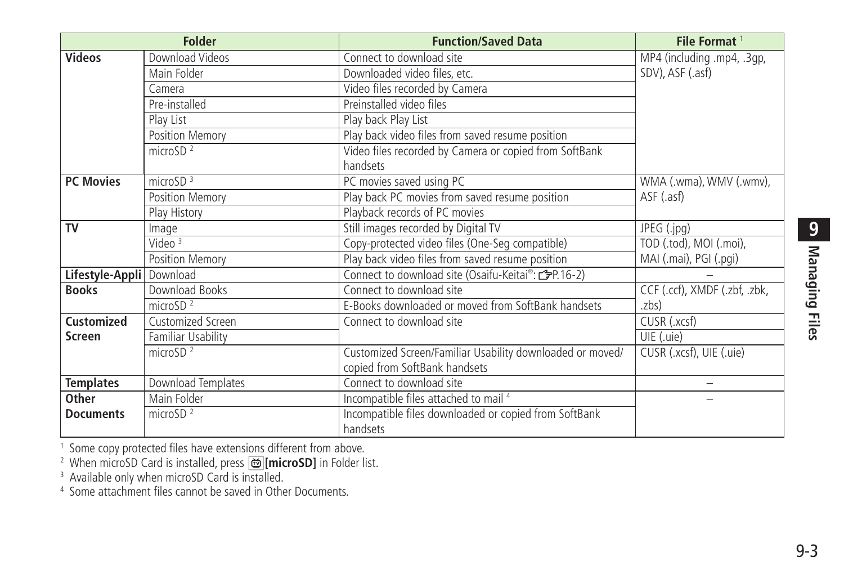| <b>Folder</b>     |                    | <b>Function/Saved Data</b>                                                                                   | File Format <sup>1</sup>      |
|-------------------|--------------------|--------------------------------------------------------------------------------------------------------------|-------------------------------|
| <b>Videos</b>     | Download Videos    | Connect to download site                                                                                     | MP4 (including .mp4, .3qp,    |
|                   | Main Folder        | Downloaded video files, etc.                                                                                 | SDV), ASF (.asf)              |
|                   | Camera             | Video files recorded by Camera                                                                               |                               |
|                   | Pre-installed      | Preinstalled video files                                                                                     |                               |
|                   | Play List          | Play back Play List                                                                                          |                               |
|                   | Position Memory    | Play back video files from saved resume position                                                             |                               |
|                   | microSD $2$        | Video files recorded by Camera or copied from SoftBank                                                       |                               |
|                   |                    | handsets                                                                                                     |                               |
| <b>PC Movies</b>  | microSD $3$        | PC movies saved using PC                                                                                     | WMA (.wma), WMV (.wmv),       |
|                   | Position Memory    | Play back PC movies from saved resume position                                                               | ASF (.asf)                    |
|                   | Play History       | Playback records of PC movies                                                                                |                               |
| TV                | Image              | Still images recorded by Digital TV                                                                          | JPEG (.jpg)                   |
|                   | Video $3$          | Copy-protected video files (One-Seg compatible)                                                              | TOD (.tod), MOI (.moi),       |
|                   | Position Memory    | Play back video files from saved resume position                                                             | MAI (.mai), PGI (.pgi)        |
| Lifestyle-Appli   | Download           | Connect to download site (Osaifu-Keitai®: <a>Cannect to download site (Osaifu-Keitai®: <a>Cannect 2)</a></a> |                               |
| <b>Books</b>      | Download Books     | Connect to download site                                                                                     | CCF (.ccf), XMDF (.zbf, .zbk, |
|                   | micro $SD2$        | E-Books downloaded or moved from SoftBank handsets                                                           | .zbs)                         |
| <b>Customized</b> | Customized Screen  | Connect to download site                                                                                     | CUSR (.xcsf)                  |
| <b>Screen</b>     | Familiar Usability |                                                                                                              | UIE (.uie)                    |
|                   | microSD $2$        | Customized Screen/Familiar Usability downloaded or moved/                                                    | CUSR (.xcsf), UIE (.uie)      |
|                   |                    | copied from SoftBank handsets                                                                                |                               |
| <b>Templates</b>  | Download Templates | Connect to download site                                                                                     | -                             |
| Other             | Main Folder        | Incompatible files attached to mail 4                                                                        |                               |
| <b>Documents</b>  | microSD $2$        | Incompatible files downloaded or copied from SoftBank                                                        |                               |
|                   |                    | handsets                                                                                                     |                               |

<sup>1</sup> Some copy protected files have extensions different from above.<br><sup>2</sup> When microSD Card is installed, press [<mark>茴][microSD]</mark> in Folder list.<br><sup>3</sup> Available only when microSD Card is installed.<br><sup>4</sup> Some attachment files can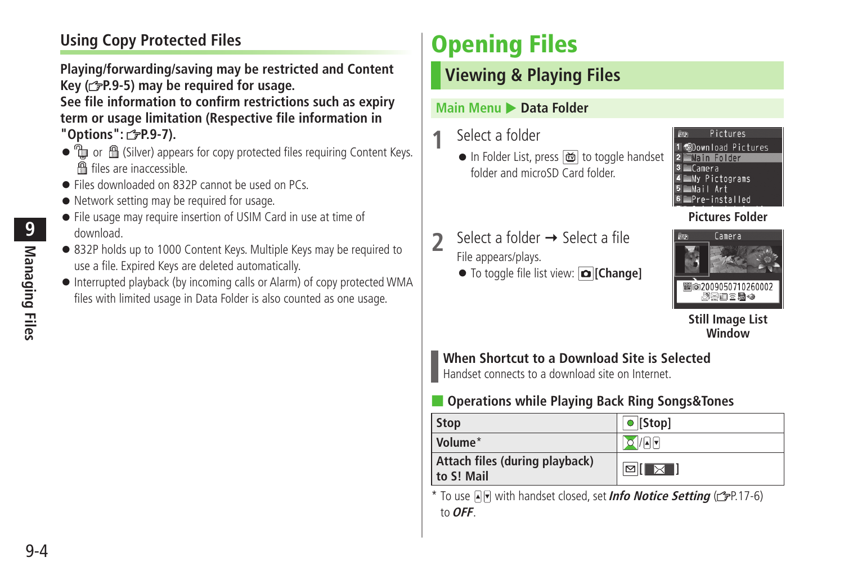# <span id="page-3-0"></span>**Using Copy Protected Files**

**Playing/forwarding/saving may be restricted and Content Key ( P.9-5) may be required for usage. See file information to confirm restrictions such as expiry term or usage limitation (Respective file information in** 

**"Options": P.9-7).**

- to m A (Silver) appears for copy protected files requiring Content Keys. files are inaccessible.
- Files downloaded on 832P cannot be used on PCs.
- Network setting may be required for usage.
- File usage may require insertion of USIM Card in use at time of download.
- 832P holds up to 1000 Content Keys. Multiple Keys may be required to use a file. Expired Keys are deleted automatically.
- Interrupted playback (by incoming calls or Alarm) of copy protected WMA files with limited usage in Data Folder is also counted as one usage.

# **Opening Files**

# **Viewing & Playing Files**

#### **Main Menu > Data Folder**

# **1** Select a folder

● In Folder List, press di to toggle handset folder and microSD Card folder.



#### **Pictures Folder**

- $\sum$  Select a folder  $\rightarrow$  Select a file File appears/plays.
	- To toggle file list view: **[Change]**



**Still Image List Window**

# **When Shortcut to a Download Site is Selected**

Handset connects to a download site on Internet.

# ■ **Operations while Playing Back Ring Songs&Tones**

| <b>Stop</b>                                  | $\bullet$ [Stop]                    |
|----------------------------------------------|-------------------------------------|
| Volume <sup>*</sup>                          | O/A                                 |
| Attach files (during playback)<br>to S! Mail | $\boxtimes$ $\boxtimes$ $\boxminus$ |

\* To use  $\Box$  with handset closed, set *Info Notice Setting* ( $\Box$ P.17-6) to **OFF**.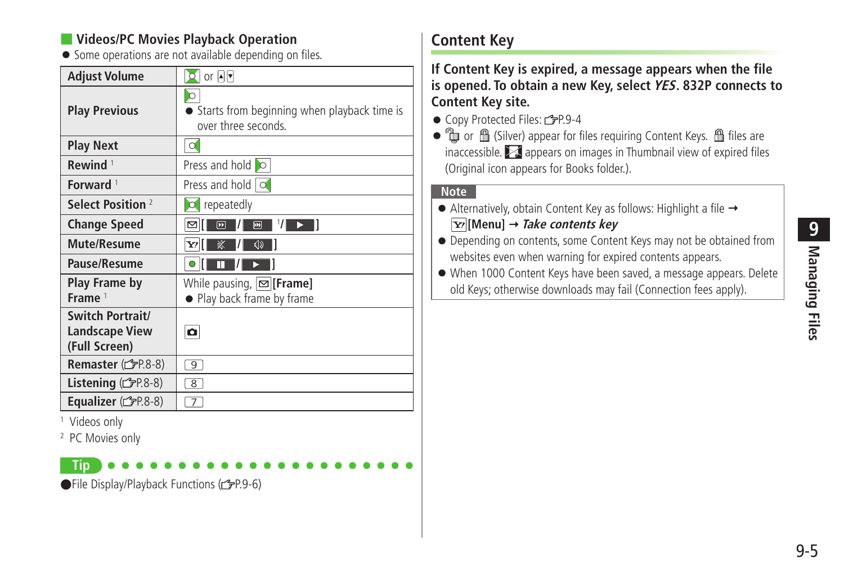### **Videos/PC Movies Playback Operation**

● Some operations are not available depending on files.

| Adjust Volume                                              | $Q$ or $A$ $\triangledown$                                              |
|------------------------------------------------------------|-------------------------------------------------------------------------|
| <b>Play Previous</b>                                       | ○<br>Starts from beginning when playback time is<br>over three seconds. |
| <b>Play Next</b>                                           | $\circ$                                                                 |
| Rewind <sup>1</sup>                                        | Press and hold <b>O</b>                                                 |
| Forward <sup>1</sup>                                       | Press and hold $\overline{\circ}$                                       |
| Select Position <sup>2</sup>                               | $\circ$ repeatedly                                                      |
| <b>Change Speed</b>                                        | $^1$ /  <br>⊠<br>$\overline{m}$<br>$\overline{[n]}$                     |
| <b>Mute/Resume</b>                                         | 冢<br>√り<br>Y/                                                           |
| Pause/Resume                                               | π                                                                       |
| Play Frame by<br>Frame <sup>1</sup>                        | While pausing, $\infty$ [Frame]<br>• Play back frame by frame           |
| Switch Portrait/<br><b>Landscape View</b><br>(Full Screen) | o                                                                       |
| Remaster (FP.8-8)                                          | 9                                                                       |
| Listening (台P.8-8)                                         | $\overline{8}$                                                          |
| <b>Equalizer</b> ( $FPR.8-8$ )                             | 7                                                                       |

1 Videos only

2 PC Movies only

**Tip**

●File Display/Playback Functions (1子P.9-6)

# **Content Key**

**If Content Key is expired, a message appears when the file is opened. To obtain a new Key, select YES. 832P connects to Content Key site.**

● Copy Protected Files: C=P.9-4

 $\bullet$   $\mathbb Q$  or  $\mathbb B$  (Silver) appear for files requiring Content Keys.  $\mathbb B$  files are inaccessible.  $\geq 1$  appears on images in Thumbnail view of expired files (Original icon appears for Books folder.).

#### **Note**

- $\bullet$  Alternatively, obtain Content Key as follows: Highlight a file  $\rightarrow$ **[Menu] Take contents key**
- Depending on contents, some Content Keys may not be obtained from websites even when warning for expired contents appears.

● When 1000 Content Keys have been saved, a message appears. Delete old Keys; otherwise downloads may fail (Connection fees apply).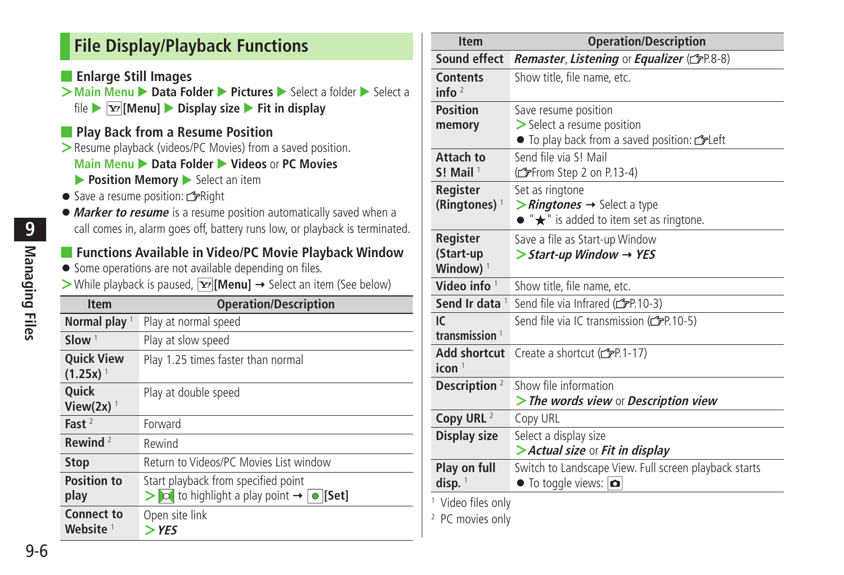# <span id="page-5-0"></span>**File Display/Playback Functions**

■ **Enlarge Still Images**

- **>Main Menu** ▶ **Data Folder ▶ Pictures** ▶ Select a folder ▶ Select a file  $\blacktriangleright$   $\boxed{\mathbf{x}}$  **[Menu]**  $\blacktriangleright$  **Display size**  $\blacktriangleright$  **Fit in display**
- **Play Back from a Resume Position**
- **>**Resume playback (videos/PC Movies) from a saved position. **Main Menu ▶ Data Folder ▶ Videos or PC Movies Position Memory** Select an item
- Save a resume position: Right
- ●**Marker to resume** is a resume position automatically saved when a call comes in, alarm goes off, battery runs low, or playback is terminated.

### ■ **Functions Available in Video/PC Movie Playback Window**

- Some operations are not available depending on files.
- $>$  While playback is paused,  $\overline{Y}$  [Menu]  $\rightarrow$  Select an item (See below)

| <b>Item</b>                                 | <b>Operation/Description</b>                                                                             |
|---------------------------------------------|----------------------------------------------------------------------------------------------------------|
| Normal play <sup>1</sup>                    | Play at normal speed                                                                                     |
| Slow $1$                                    | Play at slow speed                                                                                       |
| <b>Ouick View</b><br>$(1.25x)$ <sup>1</sup> | Play 1.25 times faster than normal                                                                       |
| <b>Ouick</b><br>View $(2x)$ <sup>1</sup>    | Play at double speed                                                                                     |
| Fast $2$                                    | Forward                                                                                                  |
| Rewind $2$                                  | Rewind                                                                                                   |
| <b>Stop</b>                                 | Return to Videos/PC Movies List window                                                                   |
| <b>Position to</b><br>play                  | Start playback from specified point<br>$>$ $\infty$ to highlight a play point $\rightarrow \infty$ [Set] |
| <b>Connect to</b><br>Website <sup>1</sup>   | Open site link<br>$>$ YES                                                                                |

| <b>Item</b>                 | <b>Operation/Description</b>                                  |
|-----------------------------|---------------------------------------------------------------|
| Sound effect                | Remaster, Listening or Equalizer (CFP.8-8)                    |
| <b>Contents</b><br>info $2$ | Show title, file name, etc.                                   |
| <b>Position</b>             | Save resume position                                          |
| memory                      | $\triangleright$ Select a resume position                     |
|                             | • To play back from a saved position: <a></a>                 |
| Attach to                   | Send file via S! Mail                                         |
| $S!$ Mail <sup>1</sup>      | (from Step 2 on P.13-4)                                       |
| Register                    | Set as ringtone                                               |
| (Ringtones) $1$             | $\triangleright$ <i>Ringtones</i> $\rightarrow$ Select a type |
|                             | $\bullet$ " $\bigstar$ " is added to item set as ringtone.    |
| Register                    | Save a file as Start-up Window                                |
| (Start-up                   | $\triangleright$ Start-up Window $\rightarrow$ YES            |
| Window) <sup>1</sup>        |                                                               |
| Video info $1$              | Show title, file name, etc.                                   |
| Send Ir data <sup>1</sup>   | Send file via Infrared (c PP 10-3)                            |
| IC                          | Send file via IC transmission (CFP.10-5)                      |
| transmission <sup>1</sup>   |                                                               |
| <b>Add shortcut</b>         | Create a shortcut (rep. 1-17)                                 |
| icon <sup>1</sup>           |                                                               |
| Description <sup>2</sup>    | Show file information                                         |
|                             | > The words view or Description view                          |
| Copy URL <sup>2</sup>       | Copy URL                                                      |
| Display size                | Select a display size                                         |
|                             | > Actual size or Fit in display                               |
|                             | Switch to Landscape View. Full screen playback starts         |
| Play on full                |                                                               |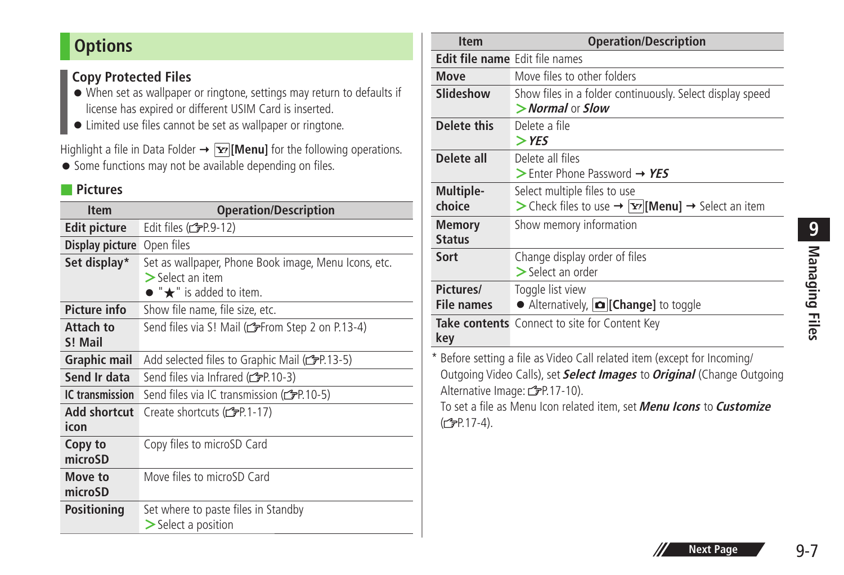# <span id="page-6-0"></span>**Options**

# **Copy Protected Files**

- When set as wallpaper or ringtone, settings may return to defaults if license has expired or different USIM Card is inserted.
- Limited use files cannot be set as wallpaper or ringtone.

Highlight a file in Data Folder  $\rightarrow \boxed{\mathbf{x}}$  [Menu] for the following operations.

● Some functions may not be available depending on files.

#### ■ **Pictures**

| <b>Item</b>         | <b>Operation/Description</b>                                     |
|---------------------|------------------------------------------------------------------|
| <b>Edit picture</b> | Edit files (rep.9-12)                                            |
| Display picture     | Open files                                                       |
| Set display*        | Set as wallpaper, Phone Book image, Menu Icons, etc.             |
|                     | $>$ Select an item<br>$\bullet$ " $\bigstar$ " is added to item. |
|                     |                                                                  |
| <b>Picture info</b> | Show file name, file size, etc.                                  |
| Attach to           | Send files via S! Mail (refrom Step 2 on P.13-4)                 |
| S! Mail             |                                                                  |
| <b>Graphic mail</b> | Add selected files to Graphic Mail (refr.13-5)                   |
| Send Ir data        | Send files via Infrared ( $\mathcal{F}$ P.10-3)                  |
| IC transmission     | Send files via IC transmission ( $\mathcal{F}$ P.10-5)           |
| Add shortcut        | Create shortcuts (子P.1-17)                                       |
| icon                |                                                                  |
| Copy to             | Copy files to microSD Card                                       |
| microSD             |                                                                  |
| Move to             | Move files to microSD Card                                       |
| microSD             |                                                                  |
| <b>Positioning</b>  | Set where to paste files in Standby                              |
|                     | $\geq$ Select a position                                         |

| <b>Item</b>                           | <b>Operation/Description</b>                                                                  |
|---------------------------------------|-----------------------------------------------------------------------------------------------|
| <b>Edit file name</b> Edit file names |                                                                                               |
| <b>Move</b>                           | Move files to other folders                                                                   |
| Slideshow                             | Show files in a folder continuously. Select display speed<br>$>$ Normal or Slow               |
| Delete this                           | Delete a file<br>$>$ YES                                                                      |
| Delete all                            | Delete all files<br>$>$ Enter Phone Password $\rightarrow$ YES                                |
| Multiple-<br>choice                   | Select multiple files to use<br>> Check files to use → $ \mathbf{x} $ [Menu] → Select an item |
| <b>Memory</b><br><b>Status</b>        | Show memory information                                                                       |
| Sort                                  | Change display order of files<br>$>$ Select an order                                          |
| Pictures/<br><b>File names</b>        | Toggle list view<br>Alternatively, $\left  \bullet \right $ [Change] to toggle                |
| key                                   | Take contents Connect to site for Content Key                                                 |
|                                       | * Before setting a file as Video Call related item (except for Incoming/                      |

Outgoing Video Calls), set **Select Images** to **Original** (Change Outgoing Alternative Image: 3P.17-10).

To set a file as Menu Icon related item, set **Menu Icons** to **Customize** (<del>C</del>) P.17-4).

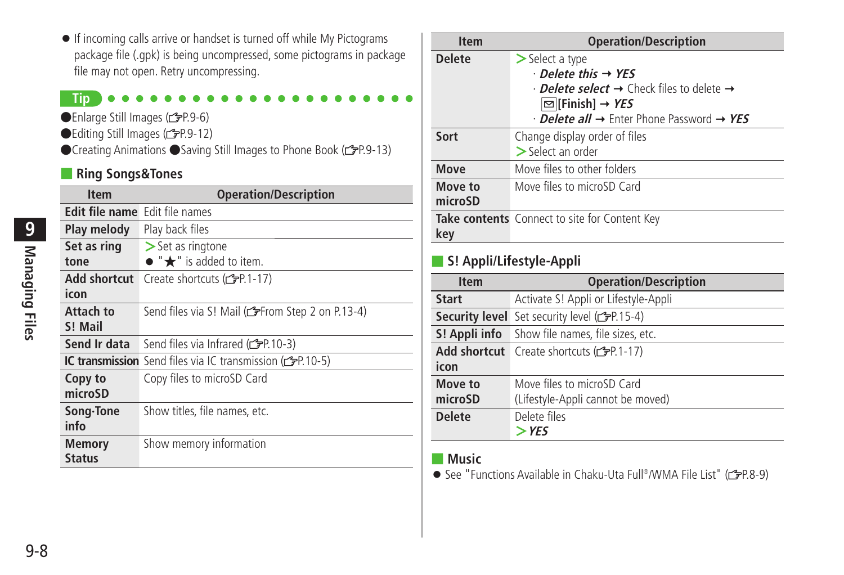- If incoming calls arrive or handset is turned off while My Pictograms package file (.gpk) is being uncompressed, some pictograms in package file may not open. Retry uncompressing.
- **Tip**
- ●Enlarge Still Images (子P.9-6)
- ●Editing Still Images (cr-P.9-12)
- ●Creating Animations ●Saving Still Images to Phone Book (GPP.9-13)

#### ■ **Ring Songs&Tones**

| <b>Item</b>                           | <b>Operation/Description</b>                                                  |
|---------------------------------------|-------------------------------------------------------------------------------|
| <b>Edit file name</b> Edit file names |                                                                               |
| Play melody                           | Play back files                                                               |
| Set as ring                           | $\ge$ Set as ringtone                                                         |
| tone                                  | $\bullet$ " $\bigstar$ " is added to item.                                    |
| Add shortcut                          | Create shortcuts (仁子P.1-17)                                                   |
| icon                                  |                                                                               |
| Attach to                             | Send files via S! Mail (refrom Step 2 on P.13-4)                              |
| S! Mail                               |                                                                               |
| Send Ir data                          | Send files via Infrared (reframed (10-3)                                      |
|                                       | <b>IC transmission</b> Send files via IC transmission (C <sub>3</sub> P.10-5) |
| Copy to                               | Copy files to microSD Card                                                    |
| microSD                               |                                                                               |
| Song Tone                             | Show titles, file names, etc.                                                 |
| info                                  |                                                                               |
| <b>Memory</b>                         | Show memory information                                                       |
| <b>Status</b>                         |                                                                               |

| <b>Item</b>   | <b>Operation/Description</b>                                            |
|---------------|-------------------------------------------------------------------------|
| <b>Delete</b> | $>$ Select a type                                                       |
|               | $\cdot$ Delete this $\rightarrow$ YES                                   |
|               | $\cdot$ Delete select $\rightarrow$ Check files to delete $\rightarrow$ |
|               | $\boxtimes$ [Finish] → YES                                              |
|               | $\cdot$ Delete all $\rightarrow$ Enter Phone Password $\rightarrow$ YES |
| Sort          | Change display order of files                                           |
|               | $\geq$ Select an order                                                  |
| <b>Move</b>   | Move files to other folders                                             |
| Move to       | Move files to microSD Card                                              |
| microSD       |                                                                         |
|               | Take contents Connect to site for Content Key                           |
| key           |                                                                         |
|               |                                                                         |

### ■ **S! Appli/Lifestyle-Appli**

| <b>Item</b>        | <b>Operation/Description</b>                                    |
|--------------------|-----------------------------------------------------------------|
| <b>Start</b>       | Activate S! Appli or Lifestyle-Appli                            |
|                    | <b>Security level</b> Set security level (rep. 15-4)            |
|                    | <b>S! Appli info</b> Show file names, file sizes, etc.          |
| icon               | Add shortcut Create shortcuts (CFP.1-17)                        |
| Move to<br>microSD | Move files to microSD Card<br>(Lifestyle-Appli cannot be moved) |
| <b>Delete</b>      | Delete files<br>$>$ YES                                         |

### ■ **Music**

● See "Functions Available in Chaku-Uta Full® /WMA File List" ( P.8-9)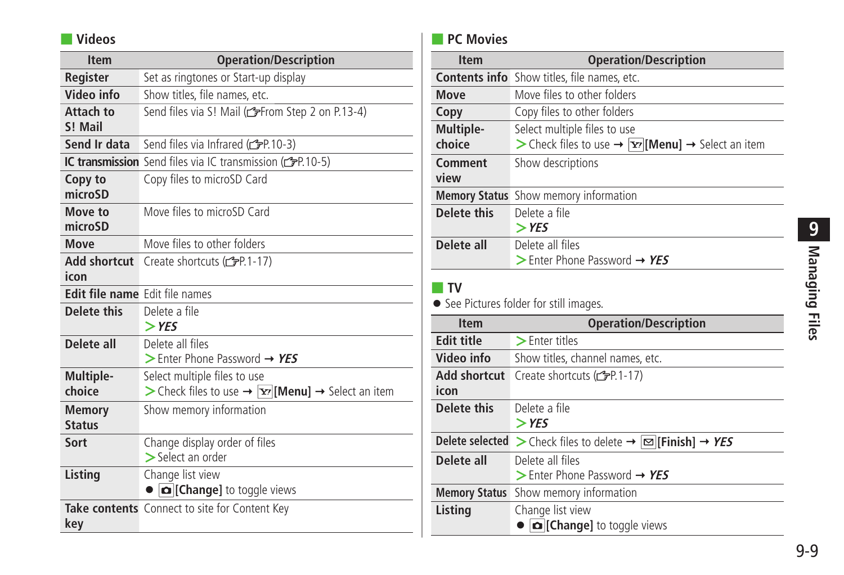# ■ **Videos**

| <b>Item</b>                    | <b>Operation/Description</b>                                                                                        |  |  |  |
|--------------------------------|---------------------------------------------------------------------------------------------------------------------|--|--|--|
| Register                       | Set as ringtones or Start-up display                                                                                |  |  |  |
| Video info                     | Show titles, file names, etc.                                                                                       |  |  |  |
| Attach to<br>S! Mail           | Send files via S! Mail (CFFrom Step 2 on P.13-4)                                                                    |  |  |  |
| Send Ir data                   | Send files via Infrared (c P.10-3)                                                                                  |  |  |  |
|                                | <b>IC transmission</b> Send files via IC transmission (FP.10-5)                                                     |  |  |  |
| Copy to<br>microSD             | Copy files to microSD Card                                                                                          |  |  |  |
| Move to<br>microSD             | Move files to microSD Card                                                                                          |  |  |  |
| Move                           | Move files to other folders                                                                                         |  |  |  |
| Add shortcut<br>icon           | Create shortcuts (子P.1-17)                                                                                          |  |  |  |
| Edit file name Edit file names |                                                                                                                     |  |  |  |
| Delete this                    | Delete a file<br>$>$ YES                                                                                            |  |  |  |
| Delete all                     | Delete all files<br>$\triangleright$ Enter Phone Password $\rightarrow$ YES                                         |  |  |  |
| Multiple-<br>choice            | Select multiple files to use<br>> Check files to use $\rightarrow \overline{Y}$ [Menu] $\rightarrow$ Select an item |  |  |  |
| <b>Memory</b><br><b>Status</b> | Show memory information                                                                                             |  |  |  |
| Sort                           | Change display order of files<br>> Select an order                                                                  |  |  |  |
| Listing                        | Change list view<br>Change] to toggle views                                                                         |  |  |  |
| key                            | Take contents Connect to site for Content Key                                                                       |  |  |  |

# ■ **PC Movies**

| <b>Item</b>                                                               | <b>Operation/Description</b>                                                                    |  |  |  |
|---------------------------------------------------------------------------|-------------------------------------------------------------------------------------------------|--|--|--|
|                                                                           | <b>Contents info</b> Show titles, file names, etc.                                              |  |  |  |
| Move                                                                      | Move files to other folders                                                                     |  |  |  |
| Copy                                                                      | Copy files to other folders                                                                     |  |  |  |
| Multiple-                                                                 | Select multiple files to use                                                                    |  |  |  |
| choice<br>> Check files to use $\rightarrow$  xer  Menu  → Select an item |                                                                                                 |  |  |  |
| Comment<br>view                                                           | Show descriptions                                                                               |  |  |  |
| <b>Memory Status</b>                                                      | Show memory information                                                                         |  |  |  |
| Delete this                                                               | Delete a file                                                                                   |  |  |  |
|                                                                           | $>$ YES                                                                                         |  |  |  |
| Delete all                                                                | Delete all files                                                                                |  |  |  |
|                                                                           | $\triangleright$ Enter Phone Password $\rightarrow$ YES                                         |  |  |  |
| TV<br>See Pictures folder for still images.                               |                                                                                                 |  |  |  |
|                                                                           |                                                                                                 |  |  |  |
| <b>Item</b>                                                               | <b>Operation/Description</b>                                                                    |  |  |  |
| <b>Edit title</b>                                                         | $\blacktriangleright$ Enter titles                                                              |  |  |  |
| Video info                                                                | Show titles, channel names, etc.                                                                |  |  |  |
| Add shortcut                                                              | Create shortcuts (全P.1-17)                                                                      |  |  |  |
| icon                                                                      |                                                                                                 |  |  |  |
| Delete this                                                               | Delete a file                                                                                   |  |  |  |
|                                                                           | $>$ YES                                                                                         |  |  |  |
|                                                                           | Delete selected > Check files to delete $\rightarrow \boxed{\infty}$ [Finish] $\rightarrow$ YES |  |  |  |
| Delete all                                                                | Delete all files                                                                                |  |  |  |
|                                                                           | $>$ Enter Phone Password $\rightarrow$ YES                                                      |  |  |  |
| <b>Memory Status</b>                                                      | Show memory information                                                                         |  |  |  |
| Listing                                                                   | Change list view<br>Change] to toggle views                                                     |  |  |  |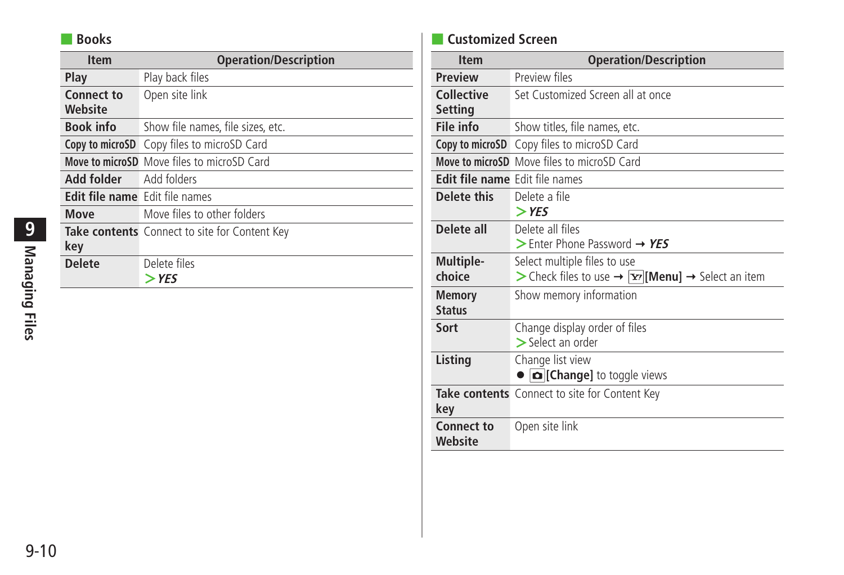# ■ **Books**

| <b>Item</b>                    | <b>Operation/Description</b>                  |  |  |
|--------------------------------|-----------------------------------------------|--|--|
| Play                           | Play back files                               |  |  |
| <b>Connect to</b><br>Website   | Open site link                                |  |  |
| <b>Book info</b>               | Show file names, file sizes, etc.             |  |  |
|                                | Copy to microSD Copy files to microSD Card    |  |  |
|                                | Move to microSD Move files to microSD Card    |  |  |
| Add folder                     | Add folders                                   |  |  |
| Edit file name Edit file names |                                               |  |  |
| <b>Move</b>                    | Move files to other folders                   |  |  |
| key                            | Take contents Connect to site for Content Key |  |  |
| <b>Delete</b>                  | Delete files<br>$>$ YES                       |  |  |

# ■ **Customized Screen**

| <b>Item</b>                           | <b>Operation/Description</b>                                  |  |  |
|---------------------------------------|---------------------------------------------------------------|--|--|
| <b>Preview</b>                        | Preview files                                                 |  |  |
| <b>Collective</b>                     | Set Customized Screen all at once                             |  |  |
| <b>Setting</b>                        |                                                               |  |  |
| File info                             | Show titles, file names, etc.                                 |  |  |
| Copy to microSD                       | Copy files to microSD Card                                    |  |  |
|                                       | Move to microSD Move files to microSD Card                    |  |  |
| <b>Edit file name</b> Edit file names |                                                               |  |  |
| Delete this                           | Delete a file                                                 |  |  |
|                                       | $>$ YES                                                       |  |  |
| Delete all                            | Delete all files                                              |  |  |
|                                       | $>$ Enter Phone Password $\rightarrow$ YES                    |  |  |
| Multiple-                             | Select multiple files to use                                  |  |  |
| choice                                | > Check files to use → $ \mathbf{x} $ [Menu] → Select an item |  |  |
| <b>Memory</b>                         | Show memory information                                       |  |  |
| <b>Status</b>                         |                                                               |  |  |
| Sort                                  | Change display order of files                                 |  |  |
|                                       | > Select an order                                             |  |  |
| Listing                               | Change list view                                              |  |  |
|                                       | Change] to toggle views                                       |  |  |
|                                       | Take contents Connect to site for Content Key                 |  |  |
| key                                   |                                                               |  |  |
| Connect to                            | Open site link                                                |  |  |
| Website                               |                                                               |  |  |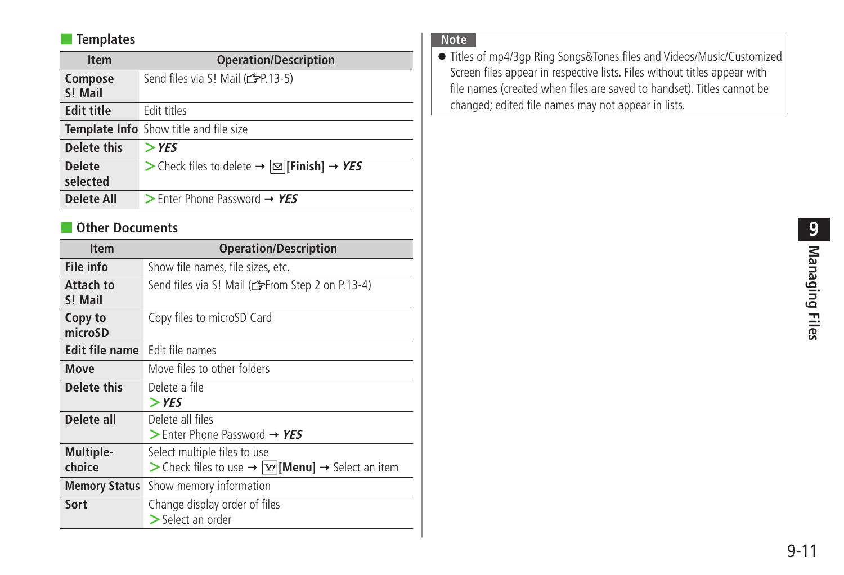# ■ **Templates**

| <b>Item</b>               | <b>Operation/Description</b>                              |  |  |
|---------------------------|-----------------------------------------------------------|--|--|
| Compose<br>S! Mail        | Send files via S! Mail (r FP.13-5)                        |  |  |
| <b>Edit title</b>         | Edit titles                                               |  |  |
|                           | <b>Template Info</b> Show title and file size             |  |  |
| Delete this               | $>$ YES                                                   |  |  |
| <b>Delete</b><br>selected | > Check files to delete → $\boxed{\infty}$ [Finish] → YES |  |  |
| <b>Delete All</b>         | $>$ Enter Phone Password $\rightarrow$ YES                |  |  |
|                           |                                                           |  |  |

#### ■ **Other Documents**

| <b>Item</b>           | <b>Operation/Description</b>                                                                         |  |  |  |
|-----------------------|------------------------------------------------------------------------------------------------------|--|--|--|
| File info             | Show file names, file sizes, etc.                                                                    |  |  |  |
| Attach to<br>S! Mail  | Send files via S! Mail (CFFrom Step 2 on P.13-4)                                                     |  |  |  |
| Copy to<br>microSD    | Copy files to microSD Card                                                                           |  |  |  |
| <b>Edit file name</b> | Edit file names                                                                                      |  |  |  |
| Move                  | Move files to other folders                                                                          |  |  |  |
| Delete this           | Delete a file<br>$>$ YES                                                                             |  |  |  |
| Delete all            | Delete all files<br>$>$ Enter Phone Password $\rightarrow$ YES                                       |  |  |  |
| Multiple-<br>choice   | Select multiple files to use<br>> Check files to use → $\boxed{\mathbf{Y}'}$ [Menu] → Select an item |  |  |  |
| <b>Memory Status</b>  | Show memory information                                                                              |  |  |  |
| Sort                  | Change display order of files<br>$>$ Select an order                                                 |  |  |  |

# **Note**

● Titles of mp4/3gp Ring Songs&Tones files and Videos/Music/Customized Screen files appear in respective lists. Files without titles appear with file names (created when files are saved to handset). Titles cannot be changed; edited file names may not appear in lists.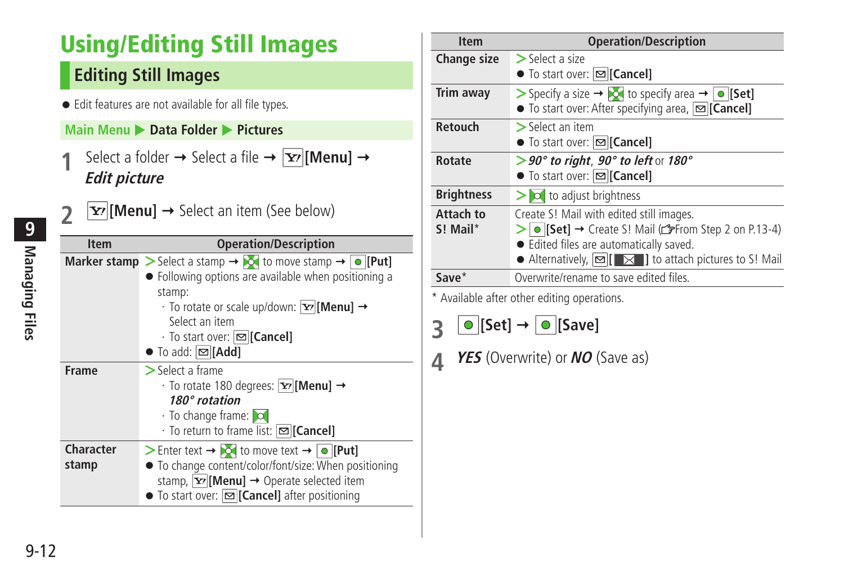# <span id="page-11-0"></span>**Using/Editing Still Images**

# **Editing Still Images**

● Edit features are not available for all file types.

# **Main Menu** X **Data Folder** X **Pictures**

**1** Select a folder  $\rightarrow$  Select a file  $\rightarrow \boxed{\mathbf{x}}$  [Menu]  $\rightarrow$ **Edit picture**

| <b>Item</b>        | <b>Operation/Description</b>                                                                                                                                                                                                                                                                                                                       |  |  |
|--------------------|----------------------------------------------------------------------------------------------------------------------------------------------------------------------------------------------------------------------------------------------------------------------------------------------------------------------------------------------------|--|--|
|                    | Marker stamp > Select a stamp $\rightarrow$ $\sim$ to move stamp $\rightarrow \sim$ [Put]<br>• Following options are available when positioning a<br>stamp:<br>$\cdot$ To rotate or scale up/down: $ \mathbf{x} $ [Menu] $\rightarrow$<br>Select an item<br>· To start over:   <b>⊠ [Cancel]</b><br>$\bullet$ To add: $\boxed{\circledcirc}$ [Add] |  |  |
| <b>Frame</b>       | $\geq$ Select a frame<br>$\cdot$ To rotate 180 degrees: $ \mathbf{x} $ [Menu] $\rightarrow$<br>180° rotation<br>$\cdot$ To change frame: $\circ$<br>$\cdot$ To return to frame list: $\infty$ [Cancel]                                                                                                                                             |  |  |
| Character<br>stamp | Senter text $\rightarrow$ <b>DO</b> to move text $\rightarrow$ <b>O</b> [Put]<br>• To change content/color/font/size: When positioning<br>stamp, $ \mathbf{x} $ [Menu] $\rightarrow$ Operate selected item<br>$\bullet$ To start over: $\boxed{\infty}$ [Cancel] after positioning                                                                 |  |  |

| <b>Item</b>                                 | <b>Operation/Description</b>                                                                                                                                                                                                                                                           |  |  |
|---------------------------------------------|----------------------------------------------------------------------------------------------------------------------------------------------------------------------------------------------------------------------------------------------------------------------------------------|--|--|
| <b>Change size</b>                          | $>$ Select a size<br>● To start over: <b>[SICancel]</b>                                                                                                                                                                                                                                |  |  |
| Trim away                                   | > Specify a size $\rightarrow$ $\odot$ to specify area $\rightarrow \odot$ [Set]<br>● To start over: After specifying area, [ <b>□ [Cancel]</b>                                                                                                                                        |  |  |
| <b>Retouch</b>                              | $>$ Select an item<br>$\bullet$ To start over: $\infty$ [Cancel]                                                                                                                                                                                                                       |  |  |
| Rotate                                      | $>$ 90° to right, 90° to left or 180°<br>● To start over: [ <b>SICancel</b> ]                                                                                                                                                                                                          |  |  |
| <b>Brightness</b>                           | $\ge$ $\infty$ to adjust brightness                                                                                                                                                                                                                                                    |  |  |
| Attach to<br>$S!$ Mail*                     | Create S! Mail with edited still images.<br>> $\circ$ [Set] → Create S! Mail ( $\circ$ From Step 2 on P.13-4)<br>• Edited files are automatically saved.<br>• Alternatively, $\boxed{\blacksquare}$ $\boxed{\blacktriangleright}$ $\boxed{\blacksquare}$ to attach pictures to S! Mail |  |  |
| Save*                                       | Overwrite/rename to save edited files.                                                                                                                                                                                                                                                 |  |  |
| * Available after other editing operations. |                                                                                                                                                                                                                                                                                        |  |  |

|  | $\bigcirc$ [Set] $\rightarrow$ $\bigcirc$ [Save] |  |  |
|--|--------------------------------------------------|--|--|
|--|--------------------------------------------------|--|--|

```
4 YES (Overwrite) or NO (Save as)
```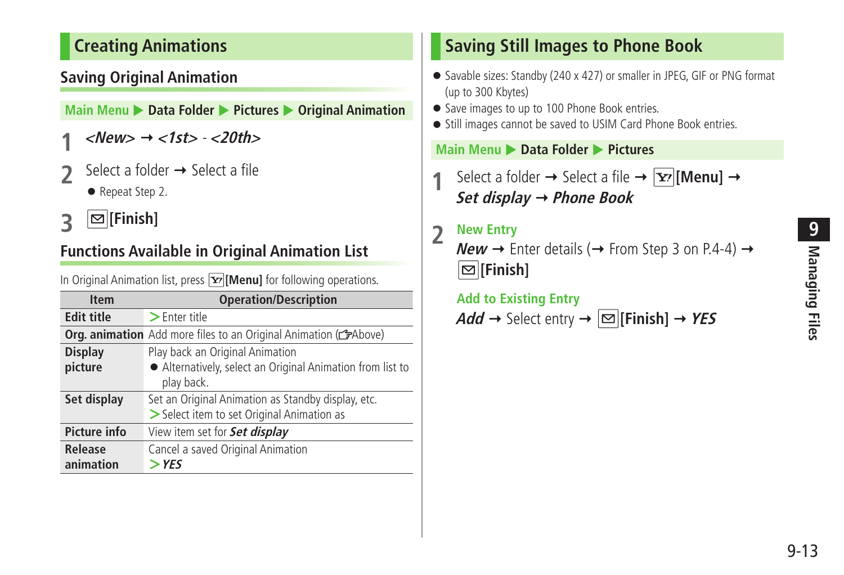# <span id="page-12-0"></span>**Creating Animations**

# **Saving Original Animation**

**Main Menu > Data Folder > Pictures > Original Animation** 

- **1 <New> <1st> <20th>**
- Select a folder  $\rightarrow$  Select a file
	- Repeat Step 2.
- **3 [Finish]**

# **Functions Available in Original Animation List**

In Original Animation list, press **[x]** [Menu] for following operations.

| <b>Item</b>         | <b>Operation/Description</b>                                            |  |  |
|---------------------|-------------------------------------------------------------------------|--|--|
| <b>Edit title</b>   | $\geq$ Enter title                                                      |  |  |
|                     | <b>Org. animation</b> Add more files to an Original Animation (CFAbove) |  |  |
| <b>Display</b>      | Play back an Original Animation                                         |  |  |
| picture             | • Alternatively, select an Original Animation from list to              |  |  |
|                     | play back.                                                              |  |  |
| Set display         | Set an Original Animation as Standby display, etc.                      |  |  |
|                     | > Select item to set Original Animation as                              |  |  |
| <b>Picture info</b> | View item set for <b>Set display</b>                                    |  |  |
| Release             | Cancel a saved Original Animation                                       |  |  |
| animation           | $>$ YES                                                                 |  |  |

# **Saving Still Images to Phone Book**

- Savable sizes: Standby (240 x 427) or smaller in JPEG, GIF or PNG format (up to 300 Kbytes)
- Save images to up to 100 Phone Book entries.
- Still images cannot be saved to USIM Card Phone Book entries.

#### **Main Menu** X **Data Folder** X **Pictures**

Select a folder  $\rightarrow$  Select a file  $\rightarrow \boxed{\mathbf{Y}}$  [Menu]  $\rightarrow$ **Set display Phone Book**

# **2 New Entry**

**New**  $\rightarrow$  Enter details ( $\rightarrow$  From Step 3 on P.4-4)  $\rightarrow$ **[Finish]**

 **Add to Existing Entry**  $Add \rightarrow$  Select entry  $\rightarrow$   $\infty$  [**Finish**]  $\rightarrow$  **YES**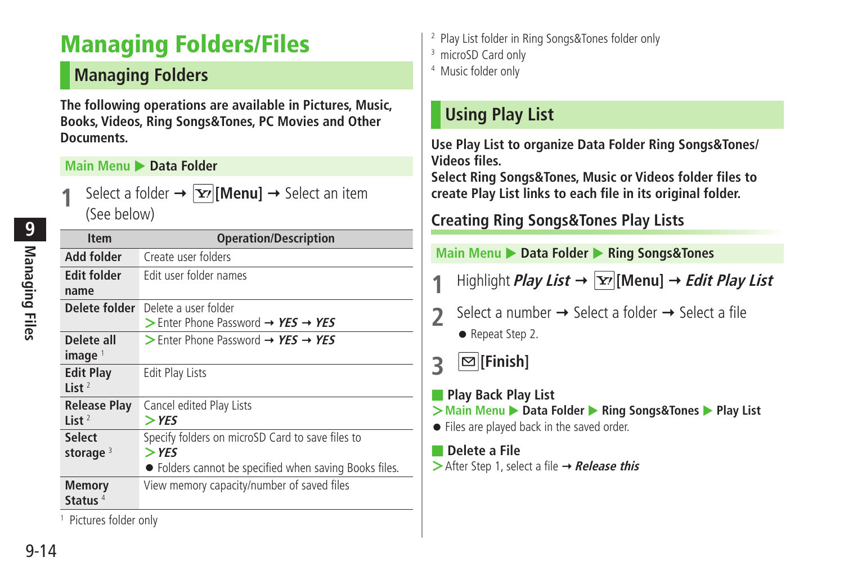# <span id="page-13-0"></span>**Managing Folders/Files**

# **Managing Folders**

**The following operations are available in Pictures, Music, Books, Videos, Ring Songs&Tones, PC Movies and Other Documents.**

#### **Main Menu > Data Folder**

Select a folder  $\rightarrow \boxed{\mathbf{Y}'}$  [Menu]  $\rightarrow$  Select an item (See below)

| <b>Item</b>                     | <b>Operation/Description</b>                                                                                          |  |  |
|---------------------------------|-----------------------------------------------------------------------------------------------------------------------|--|--|
| Add folder                      | Create user folders                                                                                                   |  |  |
| <b>Edit folder</b><br>name      | Edit user folder names                                                                                                |  |  |
| Delete folder                   | Delete a user folder<br>$\triangleright$ Enter Phone Password $\rightarrow$ YES $\rightarrow$ YES                     |  |  |
| Delete all<br>image             | > Enter Phone Password $\rightarrow$ YES $\rightarrow$ YES                                                            |  |  |
| <b>Edit Play</b><br>List $2$    | <b>Edit Play Lists</b>                                                                                                |  |  |
| <b>Release Play</b><br>List $2$ | Cancel edited Play Lists<br>$>$ YES                                                                                   |  |  |
| <b>Select</b><br>storage $3$    | Specify folders on microSD Card to save files to<br>$>$ YES<br>• Folders cannot be specified when saving Books files. |  |  |
| Memory<br>Status $4$            | View memory capacity/number of saved files                                                                            |  |  |

1 Pictures folder only

- 2 Play List folder in Ring Songs&Tones folder only
- 3 microSD Card only
- 4 Music folder only

# **Using Play List**

**Use Play List to organize Data Folder Ring Songs&Tones/ Videos files.**

**Select Ring Songs&Tones, Music or Videos folder files to create Play List links to each file in its original folder.**

# **Creating Ring Songs&Tones Play Lists**

**Main Menu** X **Data Folder** X **Ring Songs&Tones**

- Highlight **Play List**  $\rightarrow \boxed{\mathbf{Y}}$  [Menu]  $\rightarrow$  *Edit Play List*
- Select a number  $\rightarrow$  Select a folder  $\rightarrow$  Select a file
	- Repeat Step 2.

**3 [Finish]**

- **Play Back Play List**
- **>** Main Menu ▶ Data Folder ▶ Ring Songs&Tones ▶ Play List
- Files are played back in the saved order.

#### ■ **Delete a File**

**>**After Step 1, select a file → **Release this**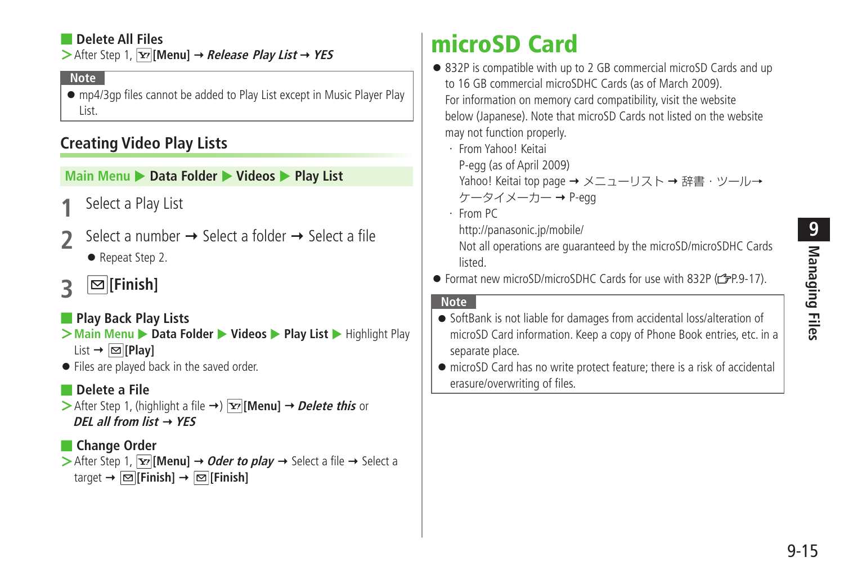### <span id="page-14-0"></span>■ **Delete All Files**

 $\triangleright$  After Step 1,  $\overline{X}$ **[Menu]**  $\rightarrow$  *Release Play List*  $\rightarrow$  **YES** 

#### **Note**

● mp4/3gp files cannot be added to Play List except in Music Player Play List.

# **Creating Video Play Lists**

#### **Main Menu ▶ Data Folder ▶ Videos ▶ Play List**

- **1** Select a Play List
- Select a number  $\rightarrow$  Select a folder  $\rightarrow$  Select a file ● Repeat Step 2.
- **3 [Finish]**

### ■ **Play Back Play Lists**

- **>** Main Menu ▶ Data Folder ▶ Videos ▶ Play List ▶ Highlight Play  $List \rightarrow \boxed{\infty}$  [Play]
- Files are played back in the saved order.

#### ■ **Delete a File**

 $\triangleright$  After Step 1, (highlight a file  $\rightarrow$ )  $\triangleright$  [Menu]  $\rightarrow$  *Delete this* or **DEL all from list YES**

#### ■ **Change Order**

 $>$  After Step 1,  $\overline{Y}$  [Menu]  $\rightarrow$  *Oder to play*  $\rightarrow$  Select a file  $\rightarrow$  Select a  $\text{target} \rightarrow \boxed{\text{S}}$  [Finish]  $\rightarrow \boxed{\text{S}}$  [Finish]

# **microSD Card**

- 832P is compatible with up to 2 GB commercial microSD Cards and up to 16 GB commercial microSDHC Cards (as of March 2009). For information on memory card compatibility, visit the website below (Japanese). Note that microSD Cards not listed on the website may not function properly.
	- ・ From Yahoo! Keitai
		- P-egg (as of April 2009)
		- Yahoo! Keitai top page → メニューリスト → 辞書・ツール→  $5 - 9 - 1 - 7 - 9$ -egg
	- ・ From PC
		- http://panasonic.jp/mobile/

Not all operations are guaranteed by the microSD/microSDHC Cards listed.

● Format new microSD/microSDHC Cards for use with 832P (全P.9-17).

#### **Note**

- SoftBank is not liable for damages from accidental loss/alteration of microSD Card information. Keep a copy of Phone Book entries, etc. in a separate place.
- microSD Card has no write protect feature; there is a risk of accidental erasure/overwriting of files.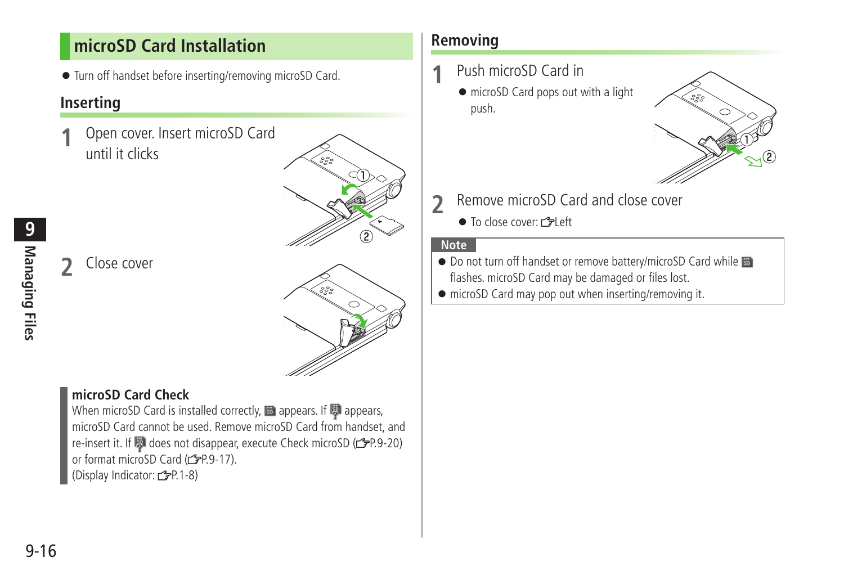# <span id="page-15-0"></span>**microSD Card Installation**

● Turn off handset before inserting/removing microSD Card.

# **Inserting**

**1** Open cover. Insert microSD Card until it clicks



**2** Close cover

# **microSD Card Check**

When microSD Card is installed correctly,  $\mathbb B$  appears. If  $\mathbb B$  appears, microSD Card cannot be used. Remove microSD Card from handset, and re-insert it. If  $\boxtimes$  does not disappear, execute Check microSD ( $\cong$ P.9-20) or format microSD Card (rep. 9-17). (Display Indicator: 仁子P.1-8)

# **Removing**

- **1** Push microSD Card in
	- microSD Card pops out with a light push.



- **2** Remove microSD Card and close cover
	- To close cover: r<sup>•</sup> Left

#### **Note**

- Do not turn off handset or remove battery/microSD Card while flashes. microSD Card may be damaged or files lost.
- microSD Card may pop out when inserting/removing it.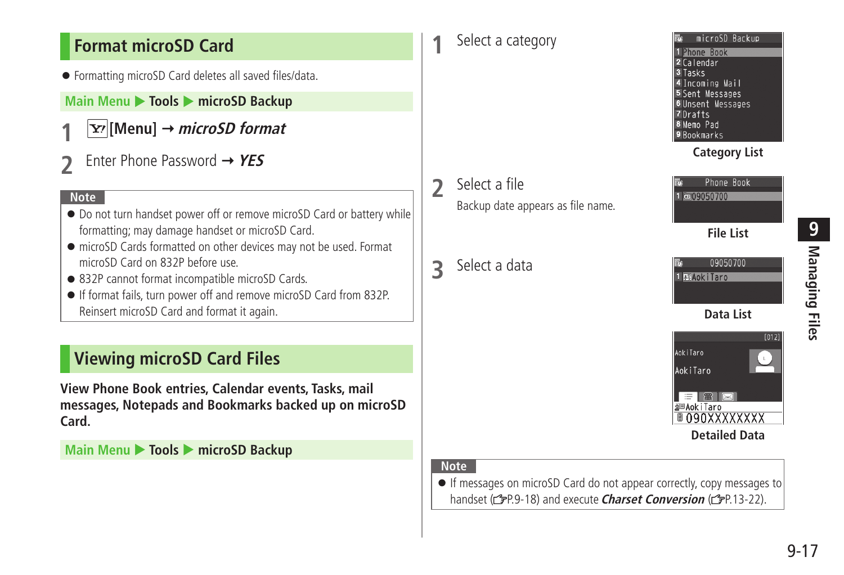# <span id="page-16-0"></span>**Format microSD Card**

● Formatting microSD Card deletes all saved files/data.

# **Main Menu ▶ Tools ▶ microSD Backup**

- **1 [Menu] microSD format**
- **2** Enter Phone Password **YES**

#### **Note**

- Do not turn handset power off or remove microSD Card or battery while formatting; may damage handset or microSD Card.
- microSD Cards formatted on other devices may not be used. Format microSD Card on 832P before use.
- 832P cannot format incompatible microSD Cards.
- If format fails, turn power off and remove microSD Card from 832P. Reinsert microSD Card and format it again.

# **Viewing microSD Card Files**

**View Phone Book entries, Calendar events, Tasks, mail messages, Notepads and Bookmarks backed up on microSD Card.**

**Main Menu ▶ Tools ▶ microSD Backup** 

# **1** Select a category

- **2** Select a file Backup date appears as file name.
- **3** Select a data



# **Category List**





#### **Note**

● If messages on microSD Card do not appear correctly, copy messages to handset (<sup>2</sup>P.9-18) and execute **Charset Conversion** (<sup>2</sup>P.13-22).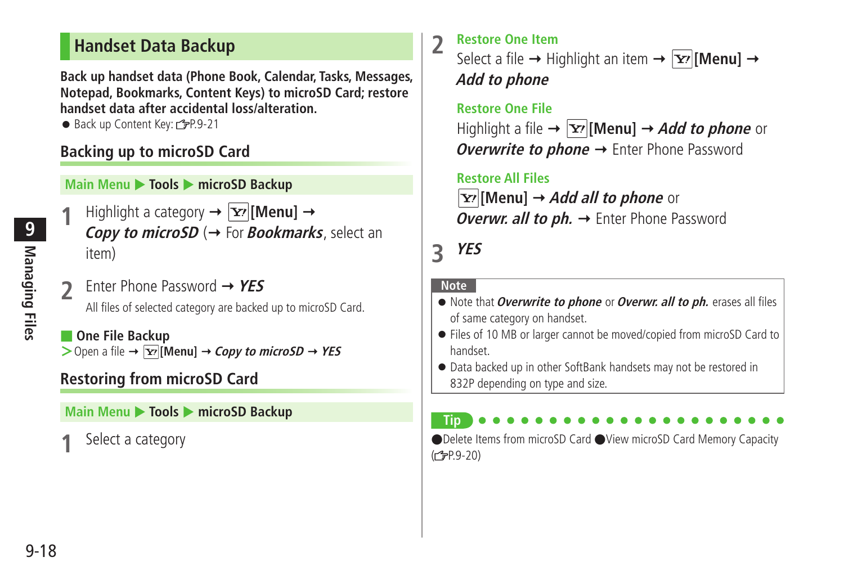# <span id="page-17-0"></span>**Handset Data Backup**

**Back up handset data (Phone Book, Calendar, Tasks, Messages, Notepad, Bookmarks, Content Keys) to microSD Card; restore handset data after accidental loss/alteration.**

● Back up Content Key: C=P.9-21

# **Backing up to microSD Card**

#### **Main Menu ▶ Tools ▶ microSD Backup**

- Highlight a category  $\rightarrow \boxed{\mathbf{Y}}$  [Menu]  $\rightarrow$ **Copy to microSD** ( $\rightarrow$  For **Bookmarks**, select an item)
- **2** Enter Phone Password **YES** All files of selected category are backed up to microSD Card.
- **One File Backup**  $>$  Open a file  $\rightarrow \boxed{\mathbf{x}}$  [Menu]  $\rightarrow$  *Copy to microSD*  $\rightarrow$  *YES*

# **Restoring from microSD Card**

### **Main Menu ▶ Tools ▶ microSD Backup**

**1** Select a category

**2** Restore One Item<br>Select a file  $\rightarrow$  Highlight an item  $\rightarrow$  **[Menu]**  $\rightarrow$ **Add to phone**

 **Restore One File** Highlight a file  $\rightarrow \boxed{\mathbf{Y}}$  [Menu]  $\rightarrow$  *Add to phone* or **Overwrite to phone →** Enter Phone Password

 **Restore All Files [Yz<sup>,</sup> [Menu] → Add all to phone** or **Overwr. all to ph. →** Enter Phone Password

# **3 YES**

#### **Note**

**Tip**

- Note that **Overwrite to phone** or **Overwr. all to ph.** erases all files of same category on handset.
- Files of 10 MB or larger cannot be moved/copied from microSD Card to handset.
- Data backed up in other SoftBank handsets may not be restored in 832P depending on type and size.

●Delete Items from microSD Card ●View microSD Card Memory Capacity  $(F = P.9 - 20)$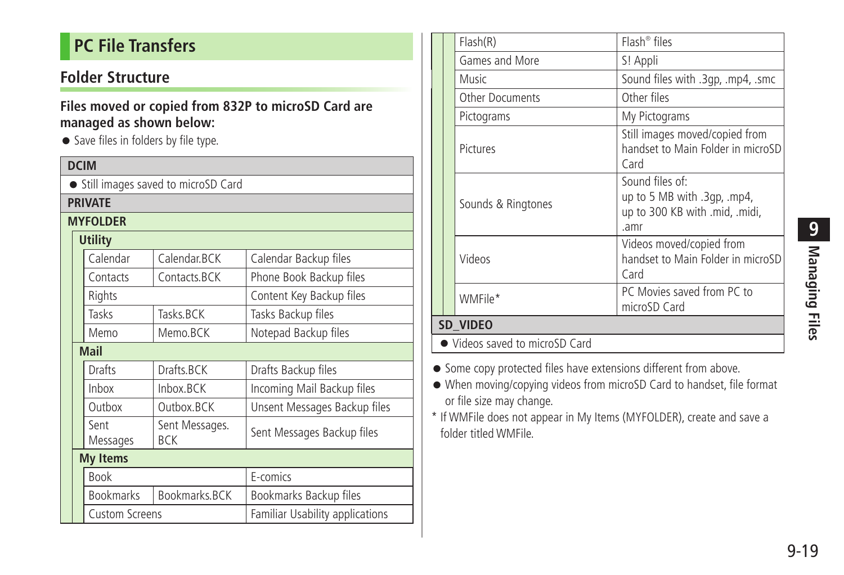# <span id="page-18-0"></span>**PC File Transfers**

# **Folder Structure**

#### **Files moved or copied from 832P to microSD Card are managed as shown below:**

● Save files in folders by file type.

| <b>DCIM</b>    |                                      |                  |                              |                                 |  |  |
|----------------|--------------------------------------|------------------|------------------------------|---------------------------------|--|--|
|                | • Still images saved to microSD Card |                  |                              |                                 |  |  |
|                | <b>PRIVATE</b>                       |                  |                              |                                 |  |  |
|                | <b>MYFOLDER</b>                      |                  |                              |                                 |  |  |
| <b>Utility</b> |                                      |                  |                              |                                 |  |  |
|                |                                      | Calendar         | Calendar.BCK                 | Calendar Backup files           |  |  |
|                |                                      | Contacts         | Contacts.BCK                 | Phone Book Backup files         |  |  |
|                |                                      | Rights           |                              | Content Key Backup files        |  |  |
|                |                                      | Tasks            | Tasks BCK                    | Tasks Backup files              |  |  |
|                |                                      | Memo             | Memo.BCK                     | Notepad Backup files            |  |  |
|                | <b>Mail</b>                          |                  |                              |                                 |  |  |
|                |                                      | Drafts           | Drafts.BCK                   | Drafts Backup files             |  |  |
|                |                                      | Inbox            | Inbox.BCK                    | Incoming Mail Backup files      |  |  |
|                |                                      | Outbox           | Outbox.BCK                   | Unsent Messages Backup files    |  |  |
|                |                                      | Sent<br>Messages | Sent Messages.<br><b>BCK</b> | Sent Messages Backup files      |  |  |
|                | <b>My Items</b>                      |                  |                              |                                 |  |  |
|                |                                      | <b>Book</b>      |                              | E-comics                        |  |  |
|                |                                      | <b>Bookmarks</b> | Bookmarks.BCK                | Bookmarks Backup files          |  |  |
|                | <b>Custom Screens</b>                |                  |                              | Familiar Usability applications |  |  |

|                                |  | Flash(R)               | $Flash^{\circledcirc}$ files                                                             |
|--------------------------------|--|------------------------|------------------------------------------------------------------------------------------|
|                                |  | Games and More         | S! Appli                                                                                 |
|                                |  | Music                  | Sound files with .3gp, .mp4, .smc                                                        |
|                                |  | <b>Other Documents</b> | Other files                                                                              |
|                                |  | Pictograms             | My Pictograms                                                                            |
|                                |  | Pictures               | Still images moved/copied from<br>handset to Main Folder in microSD<br>Card              |
|                                |  | Sounds & Ringtones     | Sound files of:<br>up to 5 MB with .3qp, .mp4,<br>up to 300 KB with .mid, .midi,<br>.amr |
|                                |  | Videos                 | Videos moved/copied from<br>handset to Main Folder in microSD<br>Card                    |
|                                |  | WMFile*                | PC Movies saved from PC to<br>microSD Card                                               |
| SD VIDEO                       |  |                        |                                                                                          |
| • Videos saved to microSD Card |  |                        |                                                                                          |

- Some copy protected files have extensions different from above.
- When moving/copying videos from microSD Card to handset, file format or file size may change.
- \* If WMFile does not appear in My Items (MYFOLDER), create and save a folder titled WMFile.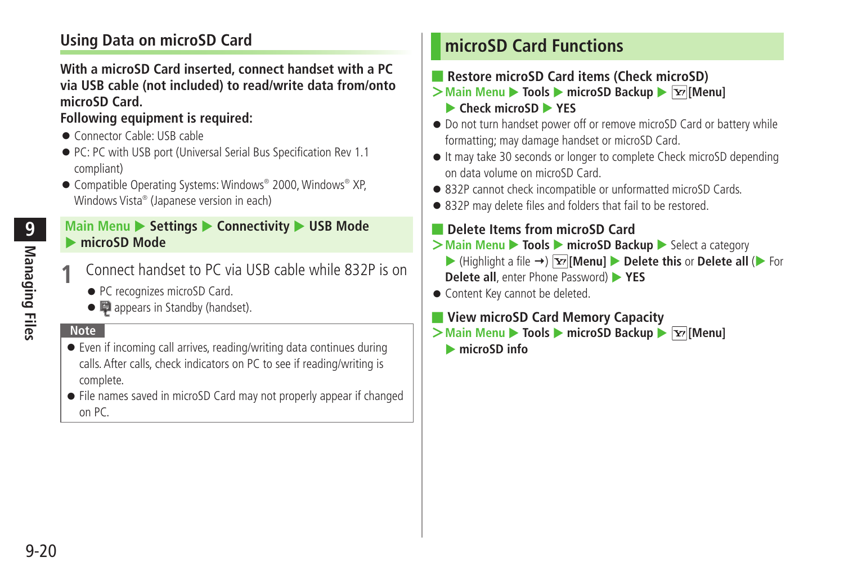# <span id="page-19-0"></span>**Using Data on microSD Card**

#### **With a microSD Card inserted, connect handset with a PC via USB cable (not included) to read/write data from/onto microSD Card.**

### **Following equipment is required:**

- Connector Cable: USB cable
- PC: PC with USB port (Universal Serial Bus Specification Rev 1.1) compliant)
- Compatible Operating Systems: Windows® 2000, Windows® XP, Windows Vista® (Japanese version in each)

#### **Main Menu ▶ Settings ▶ Connectivity ▶ USB Mode** microSD Mode

- **1** Connect handset to PC via USB cable while 832P is on
	- PC recognizes microSD Card.
	- appears in Standby (handset).

# **Note**

- Even if incoming call arrives, reading/writing data continues during calls. After calls, check indicators on PC to see if reading/writing is complete.
- File names saved in microSD Card may not properly appear if changed on PC.

# **microSD Card Functions**

- **Restore microSD Card items (Check microSD)**
- **>Main Menu** ▶ **Tools** ▶ **microSD Backup** ▶  $\boxed{\mathbf{Y}}$  [Menu] **Check microSD XES**
- Do not turn handset power off or remove microSD Card or battery while formatting; may damage handset or microSD Card.
- It may take 30 seconds or longer to complete Check microSD depending on data volume on microSD Card.
- 832P cannot check incompatible or unformatted microSD Cards.
- 832P may delete files and folders that fail to be restored.

# ■ **Delete Items from microSD Card**

- **>Main Menu ▶ Tools ▶ microSD Backup ▶ Select a category** 
	- $\blacktriangleright$  (Highlight a file  $\rightarrow$ )  $\boxed{\mathbf{x}}$  [Menu]  $\blacktriangleright$  **Delete this** or **Delete all** ( $\blacktriangleright$  For **Delete all**, enter Phone Password) **XES**
- Content Key cannot be deleted.

### ■ **View microSD Card Memory Capacity**

- **>Main Menu ▶ Tools ▶ microSD Backup ▶**  $\boxed{\mathbf{x}}$  **[Menu]** 
	- **ImicroSD info**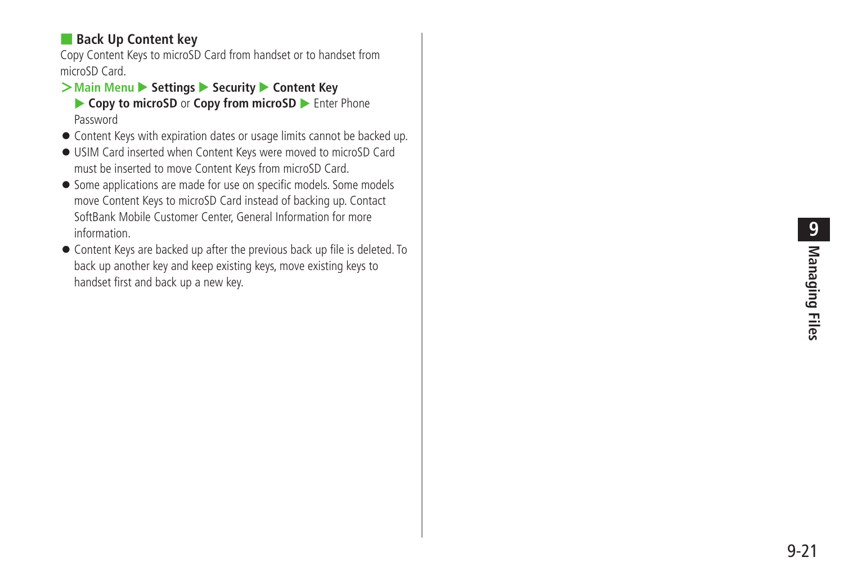# ■ **Back Up Content key**

Copy Content Keys to microSD Card from handset or to handset from microSD Card.

### **>Main Menu** X **Settings** X **Security** X **Content Key**

- ▶ Copy to microSD or Copy from microSD ▶ Enter Phone Password
- Content Keys with expiration dates or usage limits cannot be backed up.
- USIM Card inserted when Content Keys were moved to microSD Card must be inserted to move Content Keys from microSD Card.
- Some applications are made for use on specific models. Some models move Content Keys to microSD Card instead of backing up. Contact SoftBank Mobile Customer Center, General Information for more information.
- Content Keys are backed up after the previous back up file is deleted. To back up another key and keep existing keys, move existing keys to handset first and back up a new key.